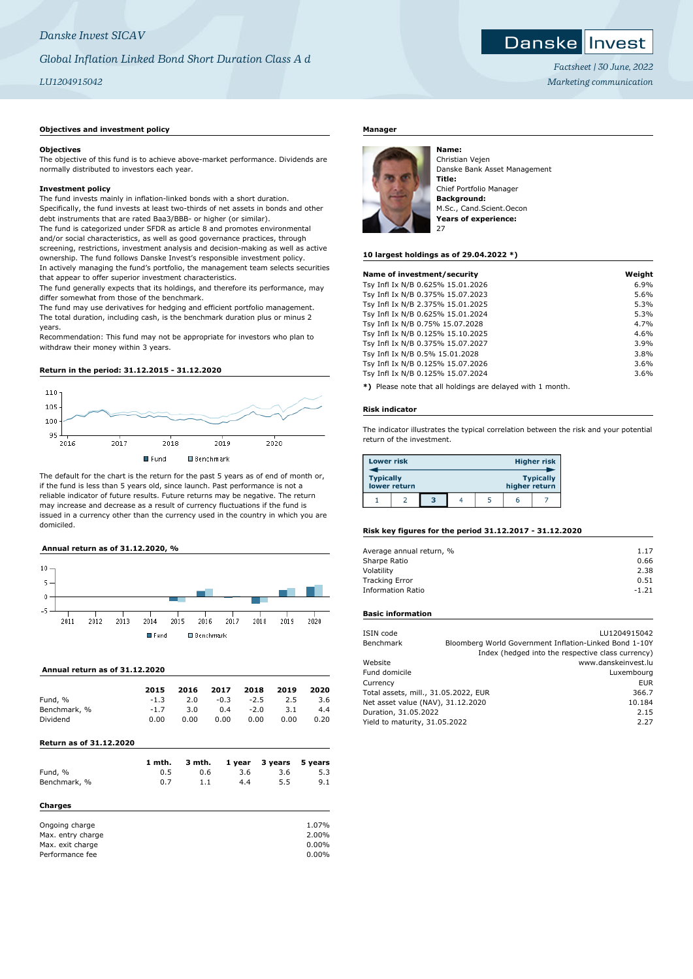# *Danske Invest SICAV*

# *Global Inflation Linked Bond Short Duration Class A d*

# *LU1204915042*

## **Objectives and investment policy**

#### **Objectives**

The objective of this fund is to achieve above-market performance. Dividends are normally distributed to investors each year.

#### **Investment policy**

The fund invests mainly in inflation-linked bonds with a short duration. Specifically, the fund invests at least two-thirds of net assets in bonds and other debt instruments that are rated Baa3/BBB- or higher (or similar). The fund is categorized under SFDR as article 8 and promotes environmental and/or social characteristics, as well as good governance practices, through screening, restrictions, investment analysis and decision-making as well as active ownership. The fund follows Danske Invest's responsible investment policy. In actively managing the fund's portfolio, the management team selects securities that appear to offer superior investment characteristics.

The fund generally expects that its holdings, and therefore its performance, may differ somewhat from those of the benchmark.

The fund may use derivatives for hedging and efficient portfolio management. The total duration, including cash, is the benchmark duration plus or minus 2 years.

Recommendation: This fund may not be appropriate for investors who plan to withdraw their money within 3 years.

#### **Return in the period: 31.12.2015 - 31.12.2020**



The default for the chart is the return for the past 5 years as of end of month or, if the fund is less than 5 years old, since launch. Past performance is not a reliable indicator of future results. Future returns may be negative. The return may increase and decrease as a result of currency fluctuations if the fund is issued in a currency other than the currency used in the country in which you are domiciled.

#### **Annual return as of 31.12.2020, %**



#### **Annual return as of 31.12.2020**

|              | 2015   | 2016 | 2017   | 2018   | 2019 | 2020 |
|--------------|--------|------|--------|--------|------|------|
| Fund, %      | $-1.3$ | 2.0  | $-0.3$ | $-2.5$ | 2.5  | 3.6  |
| Benchmark, % | $-1.7$ | 3.0  | 0.4    | $-2.0$ | 3.1  | 4.4  |
| Dividend     | 0.00   | 0.00 | 0.00   | 0.00   | 0.00 | 0.20 |

### **Return as of 31.12.2020**

| Fund, %<br>Benchmark, %                                                               | 1 mth.<br>0.5<br>0.7 | 3 mth.<br>0.6<br>1.1 | 1 year<br>3.6<br>4.4 | 3 years<br>3.6<br>5.5 | 5 years<br>5.3<br>9.1               |
|---------------------------------------------------------------------------------------|----------------------|----------------------|----------------------|-----------------------|-------------------------------------|
| Charges<br>Ongoing charge<br>Max. entry charge<br>Max. exit charge<br>Performance fee |                      |                      |                      |                       | 1.07%<br>2.00%<br>$0.00\%$<br>0.00% |

# **Manager**



Christian Vejen Danske Bank Asset Management **Title:** Chief Portfolio Manager **Background:** M.Sc., Cand.Scient.Oecon **Years of experience:**

#### **10 largest holdings as of 29.04.2022 \*)**

| Name of investment/security       | Weight |
|-----------------------------------|--------|
| Tsy Infl Ix N/B 0.625% 15.01.2026 | 6.9%   |
| Tsy Infl Ix N/B 0.375% 15.07.2023 | 5.6%   |
| Tsy Infl Ix N/B 2.375% 15.01.2025 | 5.3%   |
| Tsy Infl Ix N/B 0.625% 15.01.2024 | 5.3%   |
| Tsy Infl Ix N/B 0.75% 15.07.2028  | 4.7%   |
| Tsy Infl Ix N/B 0.125% 15.10.2025 | 4.6%   |
| Tsy Infl Ix N/B 0.375% 15.07.2027 | 3.9%   |
| Tsy Infl Ix N/B 0.5% 15.01.2028   | 3.8%   |
| Tsy Infl Ix N/B 0.125% 15.07.2026 | 3.6%   |
| Tsy Infl Ix N/B 0.125% 15.07.2024 | 3.6%   |
|                                   |        |

**\*)** Please note that all holdings are delayed with 1 month.

#### **Risk indicator**

The indicator illustrates the typical correlation between the risk and your potential return of the investment.

| <b>Lower risk</b> |              |   |  |               | <b>Higher risk</b> |
|-------------------|--------------|---|--|---------------|--------------------|
| <b>Typically</b>  | lower return |   |  | higher return | <b>Typically</b>   |
|                   |              | з |  |               |                    |

#### **Risk key figures for the period 31.12.2017 - 31.12.2020**

| Average annual return, % | 1.17    |
|--------------------------|---------|
| Sharpe Ratio             | 0.66    |
| Volatility               | 2.38    |
| <b>Tracking Error</b>    | 0.51    |
| <b>Information Ratio</b> | $-1.21$ |

# **Basic information**

| ISIN code                            |      | LU1204915042                                           |
|--------------------------------------|------|--------------------------------------------------------|
| Benchmark                            |      | Bloomberg World Government Inflation-Linked Bond 1-10Y |
|                                      |      | Index (hedged into the respective class currency)      |
| Website                              |      | www.danskeinvest.lu                                    |
| Fund domicile                        |      | Luxembourg                                             |
| Currency                             |      | <b>EUR</b>                                             |
| Total assets, mill., 31.05.2022, EUR |      | 366.7                                                  |
| Net asset value (NAV), 31.12.2020    |      | 10.184                                                 |
| Duration, 31.05.2022                 | 2.15 |                                                        |
| Yield to maturity, 31.05.2022        |      | 2.27                                                   |
|                                      |      |                                                        |



*Factsheet | 30 June, 2022 Marketing communication*